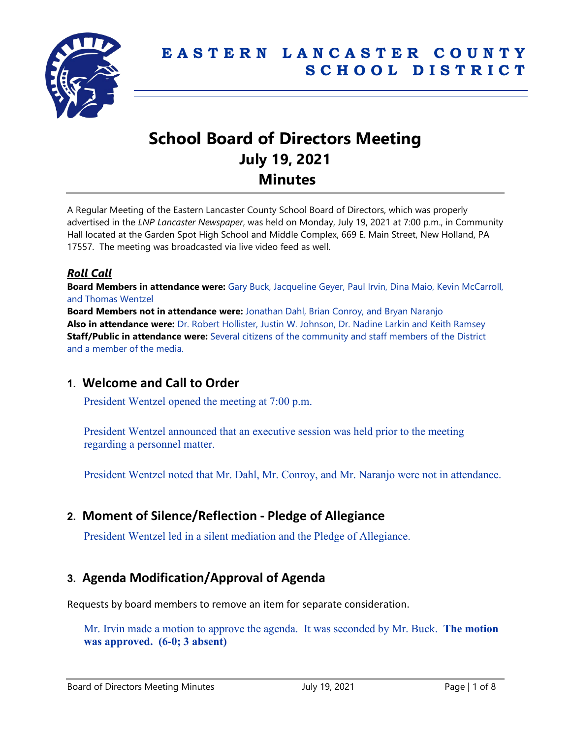

# **School Board of Directors Meeting July 19, 2021 Minutes**

A Regular Meeting of the Eastern Lancaster County School Board of Directors, which was properly advertised in the *LNP Lancaster Newspaper*, was held on Monday, July 19, 2021 at 7:00 p.m., in Community Hall located at the Garden Spot High School and Middle Complex, 669 E. Main Street, New Holland, PA 17557. The meeting was broadcasted via live video feed as well.

### *Roll Call*

**Board Members in attendance were:** Gary Buck, Jacqueline Geyer, Paul Irvin, Dina Maio, Kevin McCarroll, and Thomas Wentzel

**Board Members not in attendance were:** Jonathan Dahl, Brian Conroy, and Bryan Naranjo **Also in attendance were:** Dr. Robert Hollister, Justin W. Johnson, Dr. Nadine Larkin and Keith Ramsey **Staff/Public in attendance were:** Several citizens of the community and staff members of the District and a member of the media.

# **1. Welcome and Call to Order**

President Wentzel opened the meeting at 7:00 p.m.

President Wentzel announced that an executive session was held prior to the meeting regarding a personnel matter.

President Wentzel noted that Mr. Dahl, Mr. Conroy, and Mr. Naranjo were not in attendance.

# **2. Moment of Silence/Reflection - Pledge of Allegiance**

President Wentzel led in a silent mediation and the Pledge of Allegiance.

# **3. Agenda Modification/Approval of Agenda**

Requests by board members to remove an item for separate consideration.

Mr. Irvin made a motion to approve the agenda. It was seconded by Mr. Buck. **The motion was approved. (6-0; 3 absent)**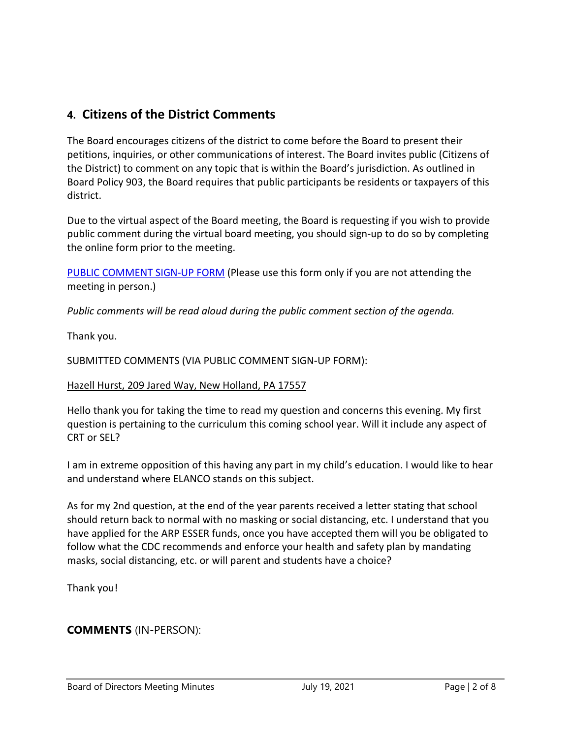# **4. Citizens of the District Comments**

The Board encourages citizens of the district to come before the Board to present their petitions, inquiries, or other communications of interest. The Board invites public (Citizens of the District) to comment on any topic that is within the Board's jurisdiction. As outlined in Board Policy 903, the Board requires that public participants be residents or taxpayers of this district.

Due to the virtual aspect of the Board meeting, the Board is requesting if you wish to provide public comment during the virtual board meeting, you should sign-up to do so by completing the online form prior to the meeting.

[PUBLIC COMMENT SIGN-UP FORM](https://forms.gle/zDXXoX8rZQUxt1Ap6) (Please use this form only if you are not attending the meeting in person.)

*Public comments will be read aloud during the public comment section of the agenda.*

Thank you.

SUBMITTED COMMENTS (VIA PUBLIC COMMENT SIGN-UP FORM):

#### Hazell Hurst, 209 Jared Way, New Holland, PA 17557

Hello thank you for taking the time to read my question and concerns this evening. My first question is pertaining to the curriculum this coming school year. Will it include any aspect of CRT or SEL?

I am in extreme opposition of this having any part in my child's education. I would like to hear and understand where ELANCO stands on this subject.

As for my 2nd question, at the end of the year parents received a letter stating that school should return back to normal with no masking or social distancing, etc. I understand that you have applied for the ARP ESSER funds, once you have accepted them will you be obligated to follow what the CDC recommends and enforce your health and safety plan by mandating masks, social distancing, etc. or will parent and students have a choice?

Thank you!

# **COMMENTS** (IN-PERSON):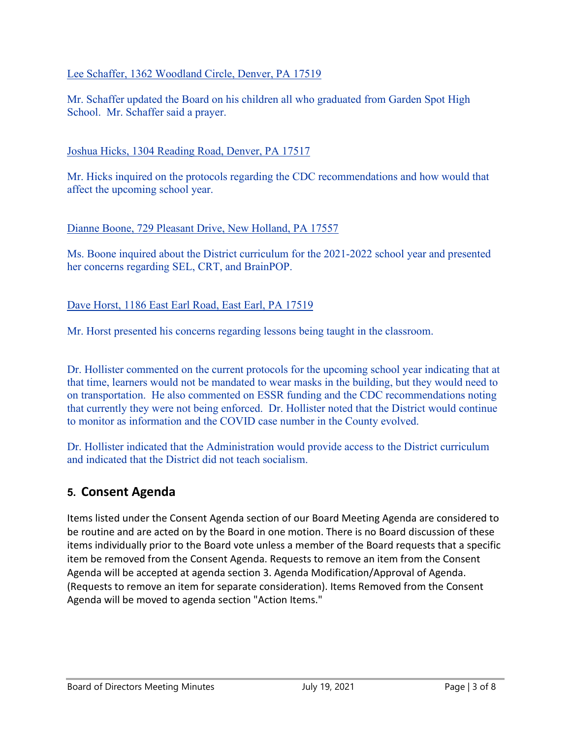### Lee Schaffer, 1362 Woodland Circle, Denver, PA 17519

Mr. Schaffer updated the Board on his children all who graduated from Garden Spot High School. Mr. Schaffer said a prayer.

#### Joshua Hicks, 1304 Reading Road, Denver, PA 17517

Mr. Hicks inquired on the protocols regarding the CDC recommendations and how would that affect the upcoming school year.

#### Dianne Boone, 729 Pleasant Drive, New Holland, PA 17557

Ms. Boone inquired about the District curriculum for the 2021-2022 school year and presented her concerns regarding SEL, CRT, and BrainPOP.

### Dave Horst, 1186 East Earl Road, East Earl, PA 17519

Mr. Horst presented his concerns regarding lessons being taught in the classroom.

Dr. Hollister commented on the current protocols for the upcoming school year indicating that at that time, learners would not be mandated to wear masks in the building, but they would need to on transportation. He also commented on ESSR funding and the CDC recommendations noting that currently they were not being enforced. Dr. Hollister noted that the District would continue to monitor as information and the COVID case number in the County evolved.

Dr. Hollister indicated that the Administration would provide access to the District curriculum and indicated that the District did not teach socialism.

# **5. Consent Agenda**

Items listed under the Consent Agenda section of our Board Meeting Agenda are considered to be routine and are acted on by the Board in one motion. There is no Board discussion of these items individually prior to the Board vote unless a member of the Board requests that a specific item be removed from the Consent Agenda. Requests to remove an item from the Consent Agenda will be accepted at agenda section 3. Agenda Modification/Approval of Agenda. (Requests to remove an item for separate consideration). Items Removed from the Consent Agenda will be moved to agenda section "Action Items."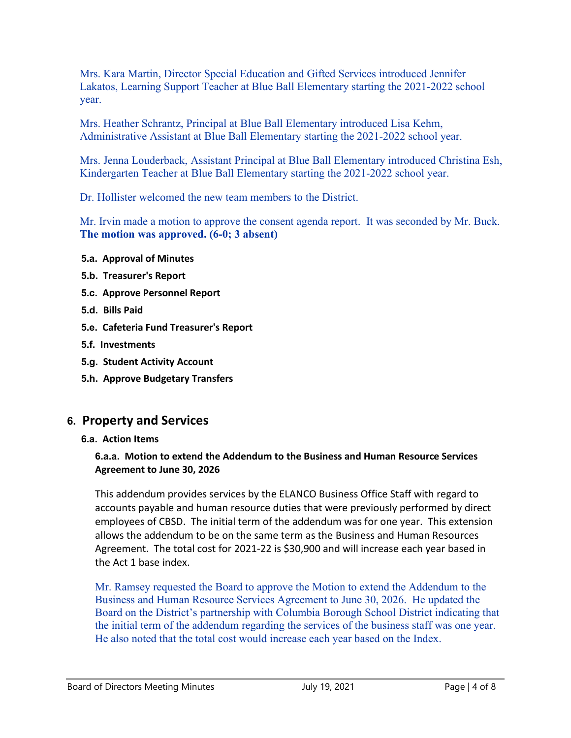Mrs. Kara Martin, Director Special Education and Gifted Services introduced Jennifer Lakatos, Learning Support Teacher at Blue Ball Elementary starting the 2021-2022 school year.

Mrs. Heather Schrantz, Principal at Blue Ball Elementary introduced Lisa Kehm, Administrative Assistant at Blue Ball Elementary starting the 2021-2022 school year.

Mrs. Jenna Louderback, Assistant Principal at Blue Ball Elementary introduced Christina Esh, Kindergarten Teacher at Blue Ball Elementary starting the 2021-2022 school year.

Dr. Hollister welcomed the new team members to the District.

Mr. Irvin made a motion to approve the consent agenda report. It was seconded by Mr. Buck. **The motion was approved. (6-0; 3 absent)**

- **5.a. Approval of Minutes**
- **5.b. Treasurer's Report**
- **5.c. Approve Personnel Report**
- **5.d. Bills Paid**
- **5.e. Cafeteria Fund Treasurer's Report**
- **5.f. Investments**
- **5.g. Student Activity Account**
- **5.h. Approve Budgetary Transfers**

# **6. Property and Services**

**6.a. Action Items**

### **6.a.a. Motion to extend the Addendum to the Business and Human Resource Services Agreement to June 30, 2026**

This addendum provides services by the ELANCO Business Office Staff with regard to accounts payable and human resource duties that were previously performed by direct employees of CBSD. The initial term of the addendum was for one year. This extension allows the addendum to be on the same term as the Business and Human Resources Agreement. The total cost for 2021-22 is \$30,900 and will increase each year based in the Act 1 base index.

Mr. Ramsey requested the Board to approve the Motion to extend the Addendum to the Business and Human Resource Services Agreement to June 30, 2026. He updated the Board on the District's partnership with Columbia Borough School District indicating that the initial term of the addendum regarding the services of the business staff was one year. He also noted that the total cost would increase each year based on the Index.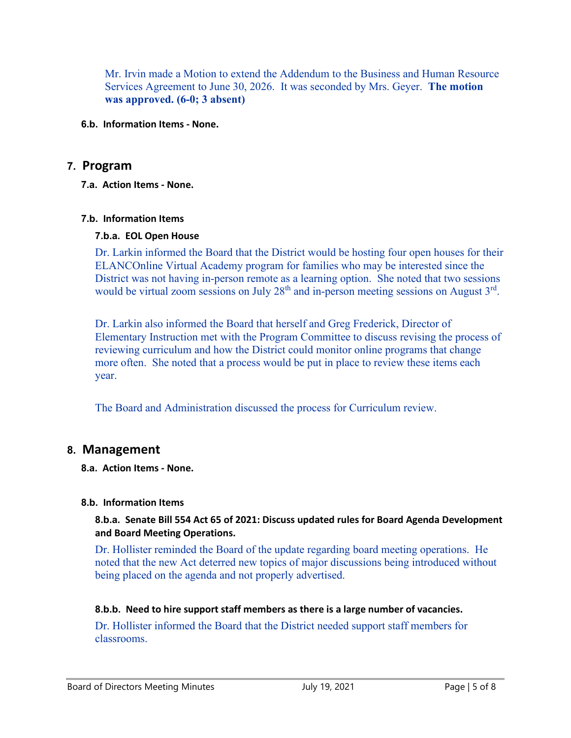Mr. Irvin made a Motion to extend the Addendum to the Business and Human Resource Services Agreement to June 30, 2026. It was seconded by Mrs. Geyer. **The motion was approved. (6-0; 3 absent)**

**6.b. Information Items - None.**

### **7. Program**

**7.a. Action Items - None.**

#### **7.b. Information Items**

#### **7.b.a. EOL Open House**

Dr. Larkin informed the Board that the District would be hosting four open houses for their ELANCOnline Virtual Academy program for families who may be interested since the District was not having in-person remote as a learning option. She noted that two sessions would be virtual zoom sessions on July  $28<sup>th</sup>$  and in-person meeting sessions on August  $3<sup>rd</sup>$ .

Dr. Larkin also informed the Board that herself and Greg Frederick, Director of Elementary Instruction met with the Program Committee to discuss revising the process of reviewing curriculum and how the District could monitor online programs that change more often. She noted that a process would be put in place to review these items each year.

The Board and Administration discussed the process for Curriculum review.

# **8. Management**

**8.a. Action Items - None.**

#### **8.b. Information Items**

#### **8.b.a. Senate Bill 554 Act 65 of 2021: Discuss updated rules for Board Agenda Development and Board Meeting Operations.**

Dr. Hollister reminded the Board of the update regarding board meeting operations. He noted that the new Act deterred new topics of major discussions being introduced without being placed on the agenda and not properly advertised.

#### **8.b.b. Need to hire support staff members as there is a large number of vacancies.**

Dr. Hollister informed the Board that the District needed support staff members for classrooms.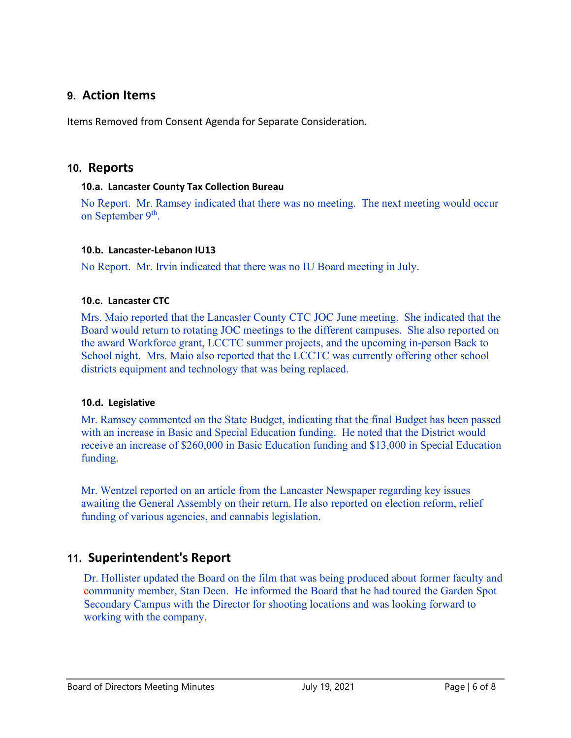# **9. Action Items**

Items Removed from Consent Agenda for Separate Consideration.

### **10. Reports**

#### **10.a. Lancaster County Tax Collection Bureau**

No Report. Mr. Ramsey indicated that there was no meeting. The next meeting would occur on September 9<sup>th</sup>.

#### **10.b. Lancaster-Lebanon IU13**

No Report. Mr. Irvin indicated that there was no IU Board meeting in July.

#### **10.c. Lancaster CTC**

Mrs. Maio reported that the Lancaster County CTC JOC June meeting. She indicated that the Board would return to rotating JOC meetings to the different campuses. She also reported on the award Workforce grant, LCCTC summer projects, and the upcoming in-person Back to School night. Mrs. Maio also reported that the LCCTC was currently offering other school districts equipment and technology that was being replaced.

#### **10.d. Legislative**

Mr. Ramsey commented on the State Budget, indicating that the final Budget has been passed with an increase in Basic and Special Education funding. He noted that the District would receive an increase of \$260,000 in Basic Education funding and \$13,000 in Special Education funding.

Mr. Wentzel reported on an article from the Lancaster Newspaper regarding key issues awaiting the General Assembly on their return. He also reported on election reform, relief funding of various agencies, and cannabis legislation.

# **11. Superintendent's Report**

Dr. Hollister updated the Board on the film that was being produced about former faculty and community member, Stan Deen. He informed the Board that he had toured the Garden Spot Secondary Campus with the Director for shooting locations and was looking forward to working with the company.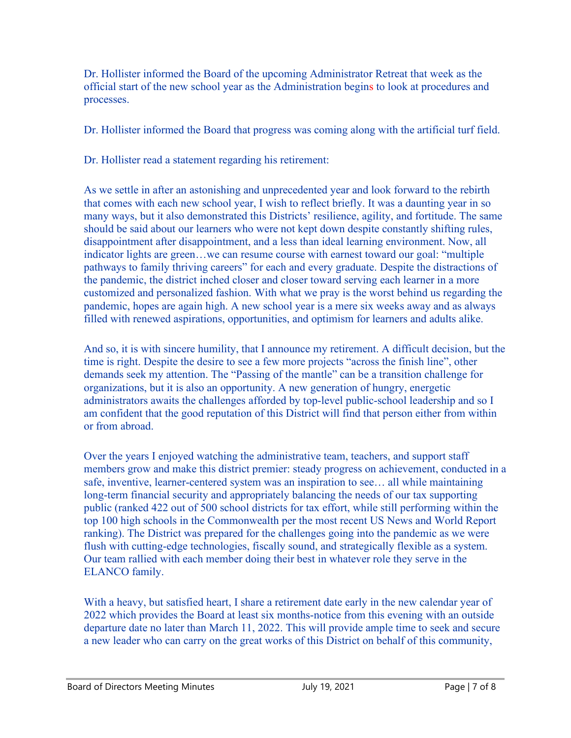Dr. Hollister informed the Board of the upcoming Administrator Retreat that week as the official start of the new school year as the Administration begins to look at procedures and processes.

Dr. Hollister informed the Board that progress was coming along with the artificial turf field.

Dr. Hollister read a statement regarding his retirement:

As we settle in after an astonishing and unprecedented year and look forward to the rebirth that comes with each new school year, I wish to reflect briefly. It was a daunting year in so many ways, but it also demonstrated this Districts' resilience, agility, and fortitude. The same should be said about our learners who were not kept down despite constantly shifting rules, disappointment after disappointment, and a less than ideal learning environment. Now, all indicator lights are green…we can resume course with earnest toward our goal: "multiple pathways to family thriving careers" for each and every graduate. Despite the distractions of the pandemic, the district inched closer and closer toward serving each learner in a more customized and personalized fashion. With what we pray is the worst behind us regarding the pandemic, hopes are again high. A new school year is a mere six weeks away and as always filled with renewed aspirations, opportunities, and optimism for learners and adults alike.

And so, it is with sincere humility, that I announce my retirement. A difficult decision, but the time is right. Despite the desire to see a few more projects "across the finish line", other demands seek my attention. The "Passing of the mantle" can be a transition challenge for organizations, but it is also an opportunity. A new generation of hungry, energetic administrators awaits the challenges afforded by top-level public-school leadership and so I am confident that the good reputation of this District will find that person either from within or from abroad.

Over the years I enjoyed watching the administrative team, teachers, and support staff members grow and make this district premier: steady progress on achievement, conducted in a safe, inventive, learner-centered system was an inspiration to see… all while maintaining long-term financial security and appropriately balancing the needs of our tax supporting public (ranked 422 out of 500 school districts for tax effort, while still performing within the top 100 high schools in the Commonwealth per the most recent US News and World Report ranking). The District was prepared for the challenges going into the pandemic as we were flush with cutting-edge technologies, fiscally sound, and strategically flexible as a system. Our team rallied with each member doing their best in whatever role they serve in the ELANCO family.

With a heavy, but satisfied heart, I share a retirement date early in the new calendar year of 2022 which provides the Board at least six months-notice from this evening with an outside departure date no later than March 11, 2022. This will provide ample time to seek and secure a new leader who can carry on the great works of this District on behalf of this community,